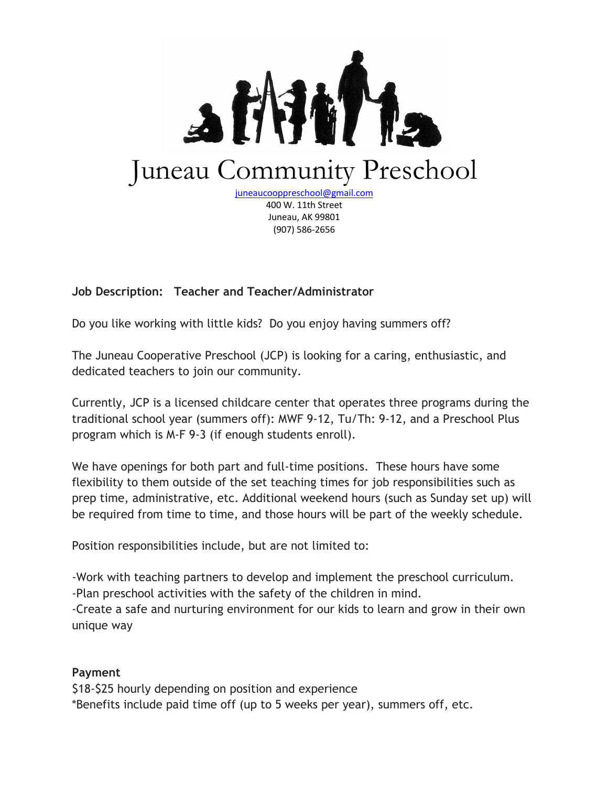

(907) 586-2656

## **Job Description: Teacher and Teacher/Administrator**

Do you like working with little kids? Do you enjoy having summers off?

The Juneau Cooperative Preschool (JCP) is looking for a caring, enthusiastic, and dedicated teachers to join our community.

Currently, JCP is a licensed childcare center that operates three programs during the traditional school year (summers off): MWF 9-12, Tu/Th: 9-12, and a Preschool Plus program which is M-F 9-3 (if enough students enroll).

We have openings for both part and full-time positions. These hours have some flexibility to them outside of the set teaching times for job responsibilities such as prep time, administrative, etc. Additional weekend hours (such as Sunday set up) will be required from time to time, and those hours will be part of the weekly schedule.

Position responsibilities include, but are not limited to:

-Work with teaching partners to develop and implement the preschool curriculum.

-Plan preschool activities with the safety of the children in mind.

-Create a safe and nurturing environment for our kids to learn and grow in their own unique way

## **Payment**

\$18-\$25 hourly depending on position and experience \*Benefits include paid time off (up to 5 weeks per year), summers off, etc.